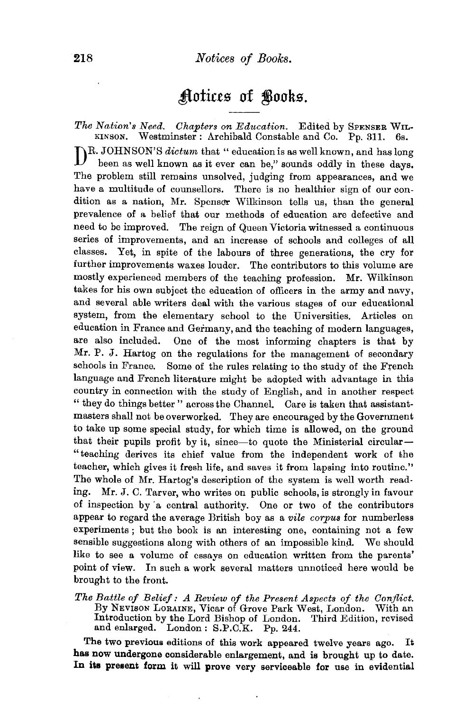## Actices of Books.

*The Nation's Need. Chapters on Education.* Edited by SPENSER WIL· KINSON. Westminster: Archibald Constable and Co. Pp. 311. 6s. DR. JOHNSON'S *dictum* that " education is as well known, and has long been as well known as it ever can be," sounds oddly in these days. The problem still remains unsolved, judging from appearances, and we have a multitude of counsellors. There is no healthier sign of our condition as a nation, Mr. Spenser Wilkinson tells us, than the general prevalence of a belief that our methods of education are defective and need to be improved. The reign of Queen Victoria witnessed a continuous series of improvements, and an increase of schools and colleges of all classes. Yet, in spite of the labours of three generations, the cry for further improvements waxes louder. The contributors to this volume are mostly experienced members of the teaching profession. Mr. Wilkinson takes for his own subject the education of officers in the army and navy, and several able writers deal with the various stages of our educational system, from the elementary school to the Universities. Articles on education in France and Germany, and the teaching of modern languages, are also included. One of the most informing chapters is that by Mr. P. J. Hartog on the regulations for the management of secondary schools in France. Some of the rules relating to the study of the French language and French literature might be adopted with advantage in this country in connection with the study of English, and in another respect " they do things better" across the Channel. Care is taken that assistantmasters shall not be overworked. They are encouraged by the Government to take up some special study, for which time is allowed, on the ground that their pupils profit by it, since—to quote the Ministerial circular— " teaching derives its chief value from the independent work of the teacher, which gives it fresh life, and saves it from lapsing into routine." The whole of Mr. Hartog's description of the system is well worth reading. Mr. J. C. Tarver, who writes on public schools, is strongly in favour of inspection by a central authority. One or two of the contributors appear to regard the average British boy as a *vile corpus* for numberless experiments ; but the book is an interesting one, containing not a few sensible suggestions along with others of an impossible kind. We should like to see a volume of essays on education written from the parents' point of view. In such a work several matters unnoticed here would be brought to the front.

*The Battle of Belief: A Review of the Present Aspects of the Conflict.*  Introduction by the Lord Bishop of London. Third Edition, revised and enlarged. London: S.P.C.K. Pp. 244.

The two previous editions of this work appeared twelve years ago. It has now undergone considerable enlargement, and is brought up to date. In its present form it will prove very serviceable for use in evidential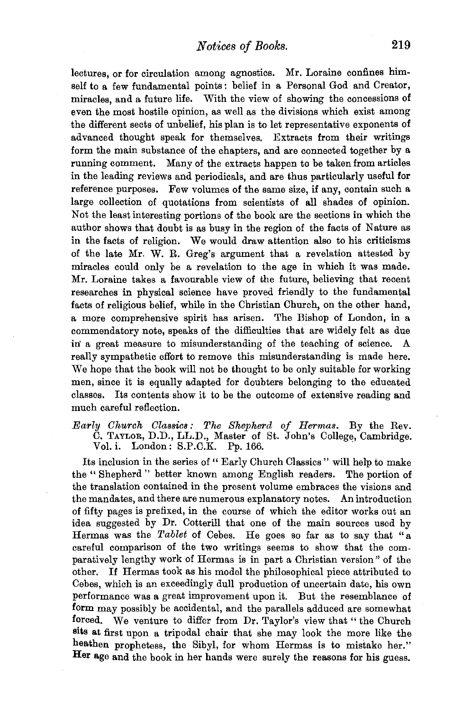lectures, or for circulation among agnostics. Mr. Loraine confines himself to a few fundamental points: belief in a Personal God and Creator, miracles, and a future life. With the view of showing the concessions of even the most hostile opinion, as well as the divisions which exist among the different sects of unbelief, his plan is to let representative exponents of advanced thought speak for themselves. Extracts from their writings form the main substance of the chapters, and are connected together by a running comment. Many of the extracts happen to be taken from articles in the leading reviews and periodicals, and are thus particularly useful for reference purposes. Few volumes of the same size, if any, contain such a large collection of quotations from scientists of all shades of opinion. Not the least interesting portions of the book are the sections in which the author shows that doubt is as busy in the region of the facts of Nature as in the facts of religion. We would draw attention also to his criticisms of the late Mr. W. R. Greg's argument that a revelation attested by miracles could only be a revelation to the age in which it was made. Mr. Loraine takes a favourable view of the future, believing that recent researches in physical science have proved friendly to the fundamental facts of religious belief, while in the Christian Church, on the other hand, a more comprehensive spirit has arisen. The Bishop of London, in a commendatory note, speaks of the difficulties that are widely felt as due in a great measure to misunderstanding of the teaching of science. A really sympathetic effort to remove this misunderstanding is made here. We hope that the book will not be thought to be only suitable for working men, since it is equally adapted for doubters belonging to the educated classes. Its contents show it to be the outcome of extensive reading and much careful reflection.

*Early Church Classics: The Shepherd of Hermas.* By the Rev. C. TAYLOR, D.D., LL.D., Master of St. John's College, Cambridge. Vol. i. London: S.P.C.K. Pp. 166.

Its inclusion in the series of " Early Church Classics " will help to make the " Shepherd " better known among English readers. The portion of the translation contained in the present volume embraces the visions and the mandates, and there are numerous explanatory notes. An introduction of fifty pages is prefixed, in the course of which the editor works out an idea suggested by Dr. Cotterill that one of the main sources used by Hermas was the *Tablet* of Cebes. He goes so far as to say that "a careful comparison of the two writings seems to show that the comparatively lengthy work of Hermas is in part a Christian version" of the other. If Hermas took as his model the philosophical piece attributed to Cebes, which is an exceedingly dull production of uncertain date, his own performance was a great improvement upon it. But the resemblance of form may possibly be accidental, and the parallels adduced are somewhat forced. We venture to differ from Dr. Taylor's view that "the Church sits at first upon a tripodal chair that she may look the more like the heathen prophetess, the Sibyl, for whom Hermas is to mistake her." Her age and the book in her hands were surely the reasons for his guess.